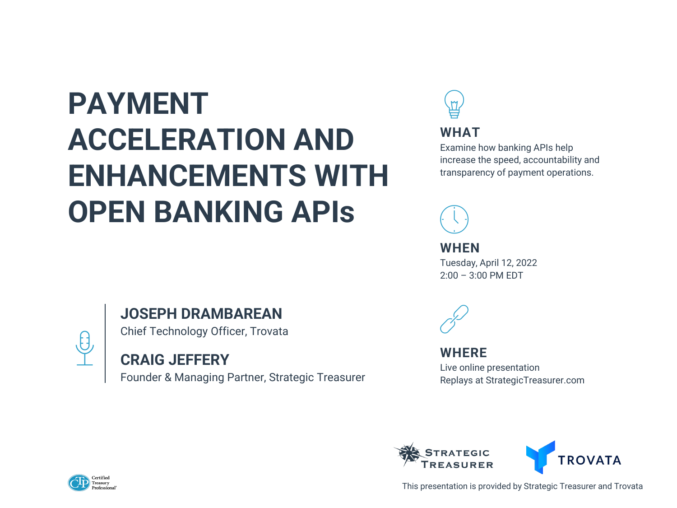# **PAYMENT ACCELERATION AND ENHANCEMENTS WITH OPEN BANKING APIs**

### **JOSEPH DRAMBAREAN**

Chief Technology Officer, Trovata

### **CRAIG JEFFERY**

Founder & Managing Partner, Strategic Treasurer







This presentation is provided by Strategic Treasurer and Trovata

**WHAT** Examine how banking APIs help increase the speed, accountability and transparency of payment operations.



**WHEN** Tuesday, April 12, 2022 2:00 – 3:00 PM EDT



### **WHERE**

Live online presentation Replays at StrategicTreasurer.com



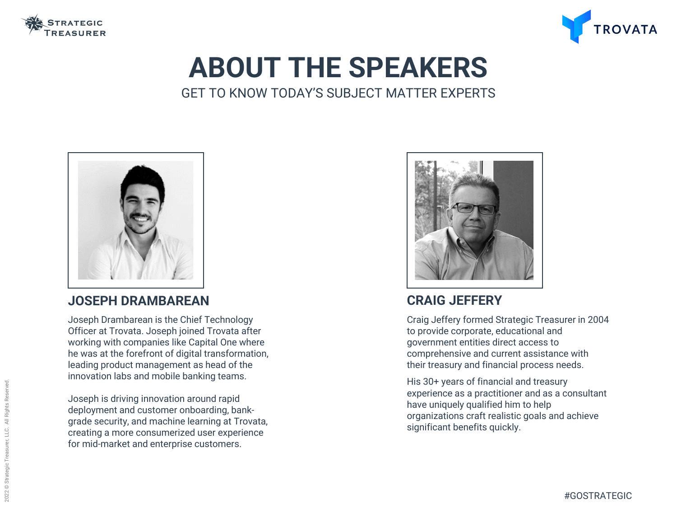

## **ABOUT THE SPEAKERS** GET TO KNOW TODAY'S SUBJECT MATTER EXPERTS

### **CRAIG JEFFERY**

Craig Jeffery formed Strategic Treasurer in 2004 to provide corporate, educational and government entities direct access to comprehensive and current assistance with their treasury and financial process needs.

His 30+ years of financial and treasury experience as a practitioner and as a consultant have uniquely qualified him to help organizations craft realistic goals and achieve significant benefits quickly.



### **JOSEPH DRAMBAREAN**

Joseph Drambarean is the Chief Technology Officer at Trovata. Joseph joined Trovata after working with companies like Capital One where he was at the forefront of digital transformation, leading product management as head of the innovation labs and mobile banking teams.

Joseph is driving innovation around rapid deployment and customer onboarding, bankgrade security, and machine learning at Trovata, creating a more consumerized user experience for mid-market and enterprise customers.





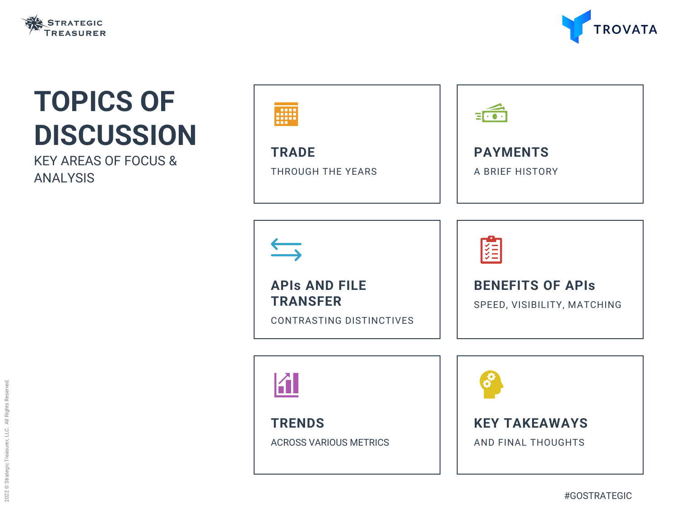**TRADE** THROUGH THE YEARS



**APIs AND FILE TRANSFER**

CONTRASTING DISTINCTIVES





**TRENDS**

ACROSS VARIOUS METRICS





# **TOPICS OF DISCUSSION**

KEY AREAS OF FOCUS & ANALYSIS

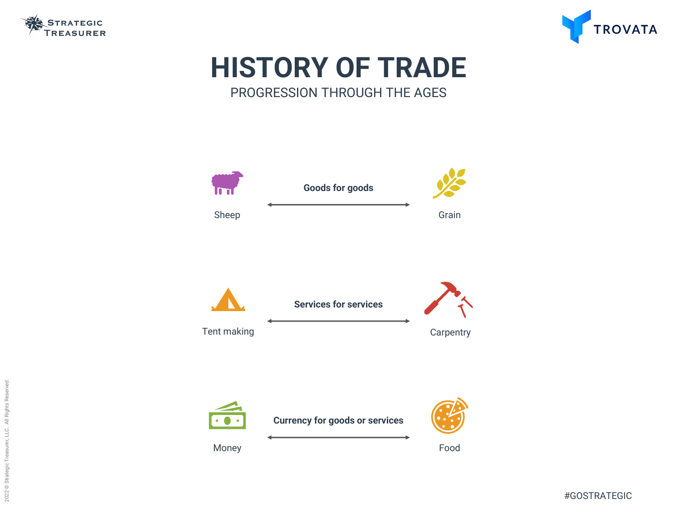









## **HISTORY OF TRADE** PROGRESSION THROUGH THE AGES

**Currency for goods or services**

Money **Food** 



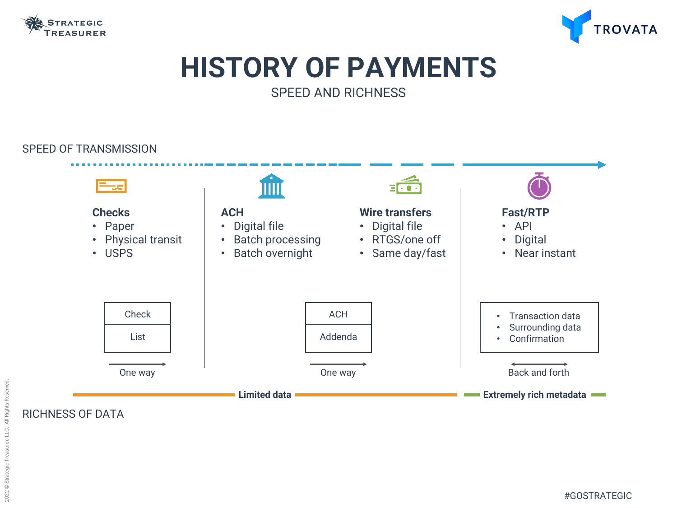

## **HISTORY OF PAYMENTS** SPEED AND RICHNESS



#### SPEED OF TRANSMISSION

RICHNESS OF DATA

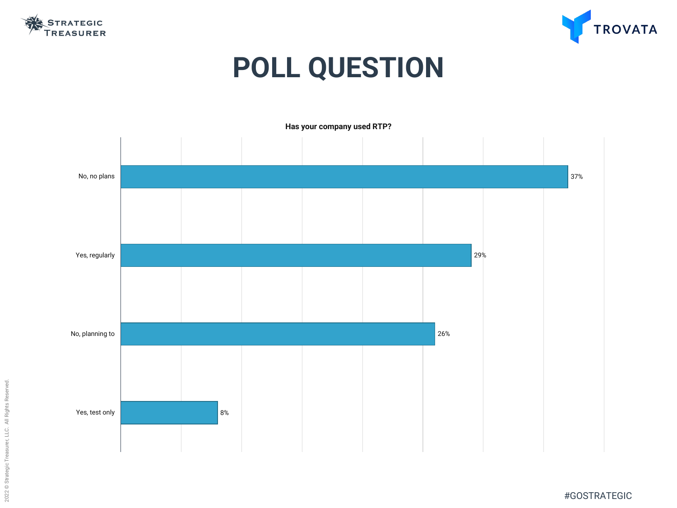





# **POLL QUESTION**



**Has your company used RTP?**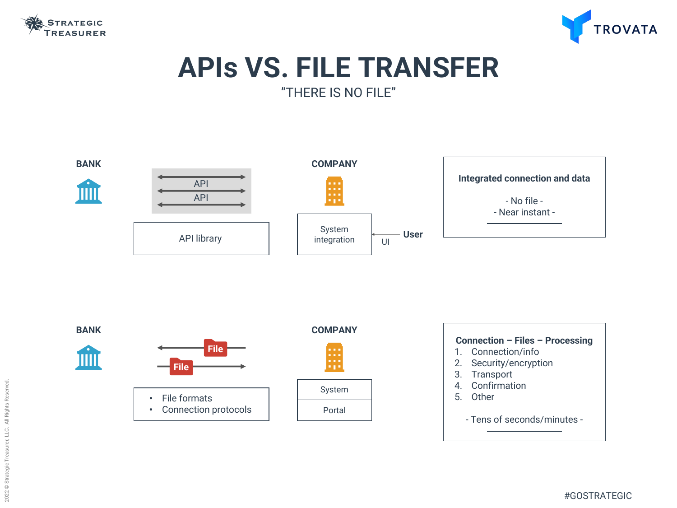



## **APIs VS. FILE TRANSFER** "THERE IS NO FILE"

#### **Connection – Files – Processing**

- 1. Connection/info
- 2. Security/encryption
- 3. Transport
- 4. Confirmation
- 5. Other

- Tens of seconds/minutes -



#### **Integrated connection and data**

- No file - - Near instant -

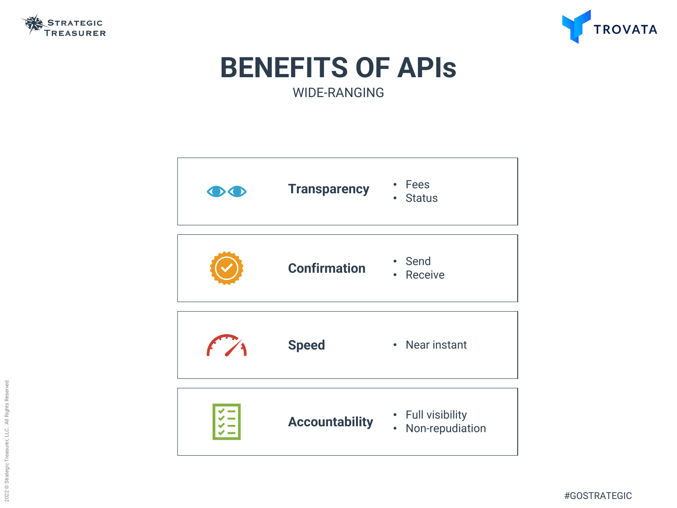





## **BENEFITS OF APIs** WIDE-RANGING



### • Full visibility • Non-repudiation

#### • Near instant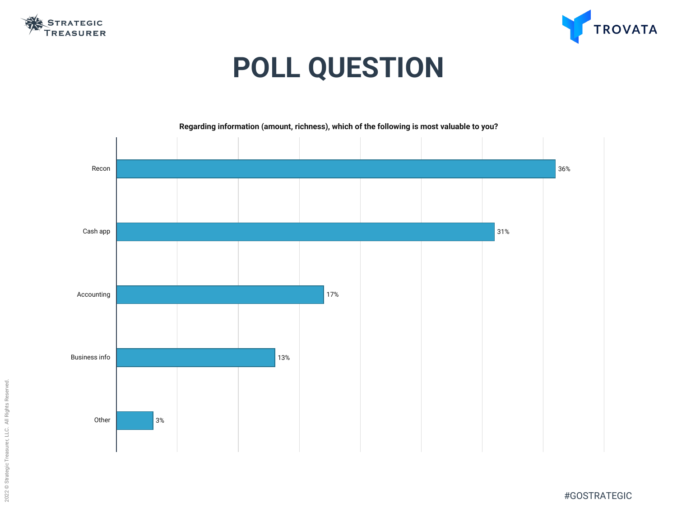



# **POLL QUESTION**

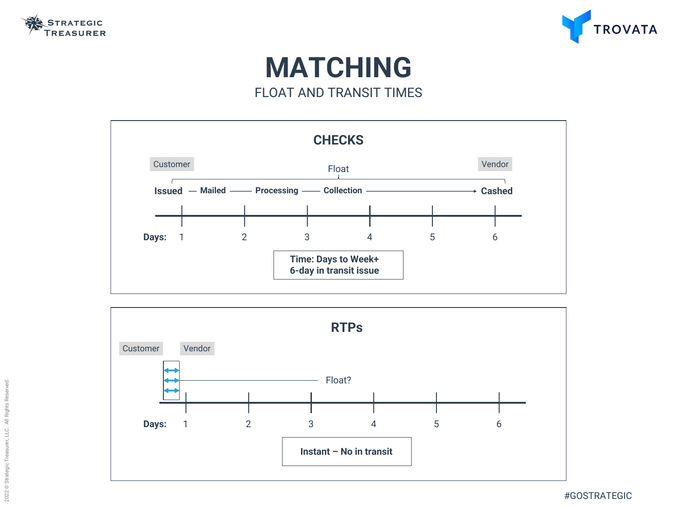



## **MATCHING** FLOAT AND TRANSIT TIMES



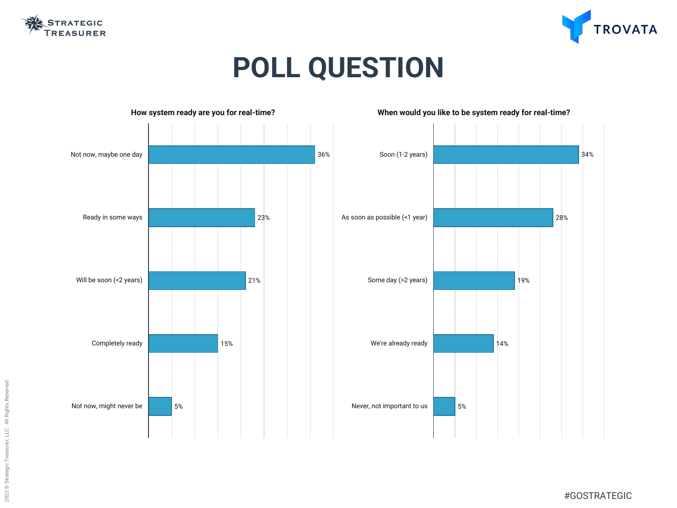



# **POLL QUESTION**

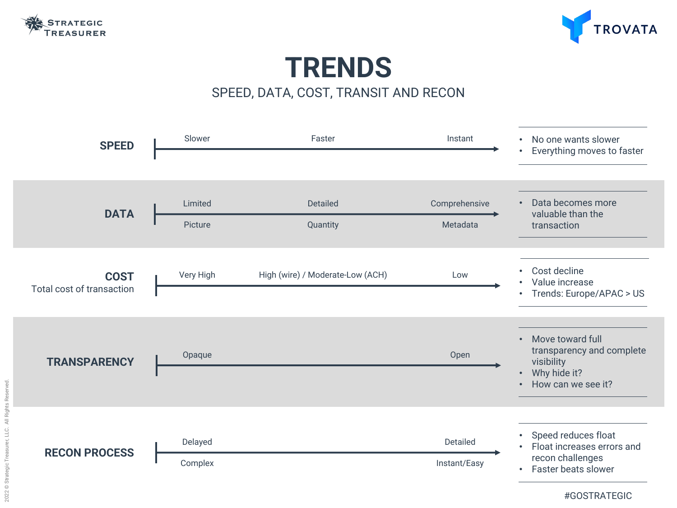

## **TRENDS** SPEED, DATA, COST, TRANSIT AND RECON



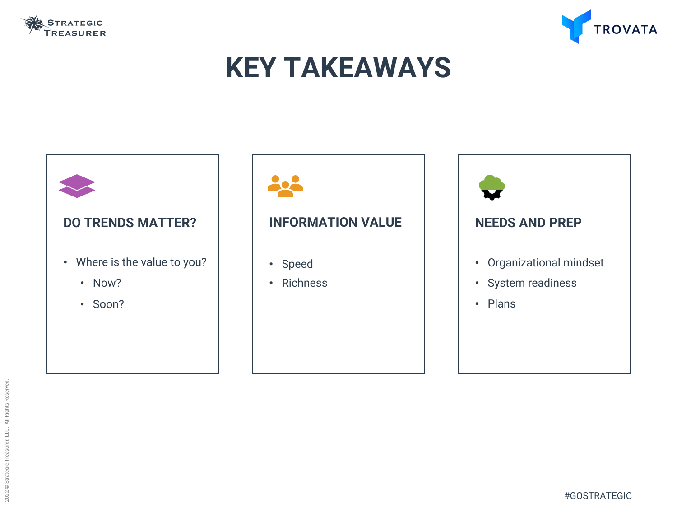

# **KEY TAKEAWAYS**

# **DO TRENDS MATTER?** • Where is the value to you? • Now? • Soon?





### **INFORMATION VALUE**

- Speed
- Richness